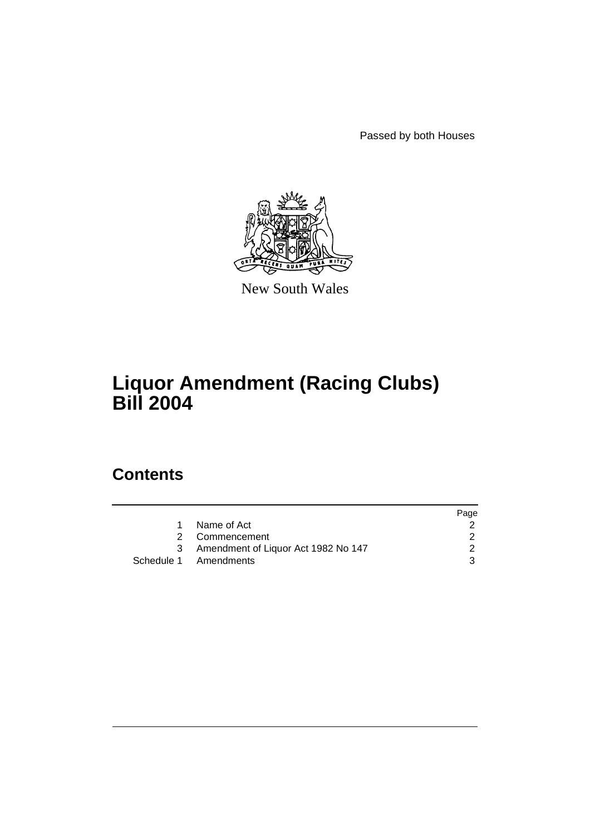Passed by both Houses



New South Wales

# **Liquor Amendment (Racing Clubs) Bill 2004**

# **Contents**

|                                     | Page |
|-------------------------------------|------|
| Name of Act                         |      |
| 2 Commencement                      |      |
| Amendment of Liquor Act 1982 No 147 |      |
| Schedule 1 Amendments               |      |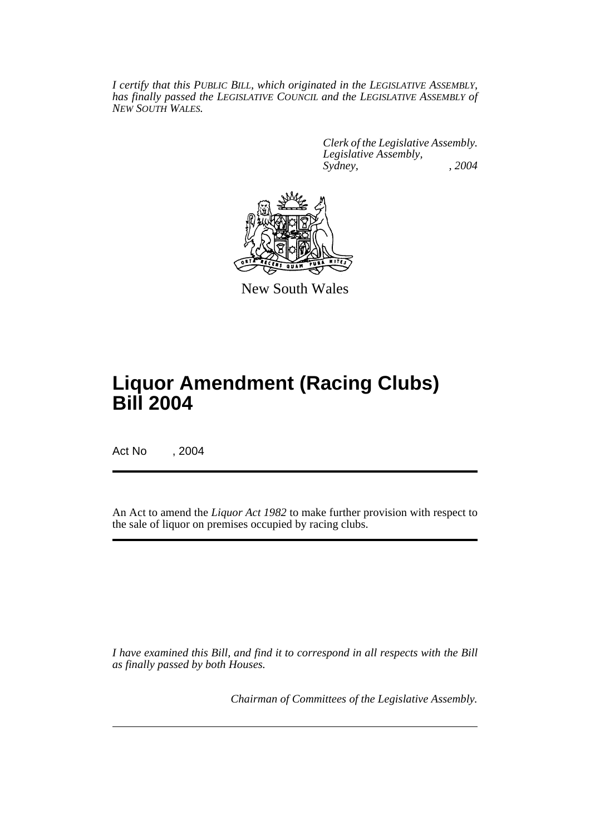*I certify that this PUBLIC BILL, which originated in the LEGISLATIVE ASSEMBLY, has finally passed the LEGISLATIVE COUNCIL and the LEGISLATIVE ASSEMBLY of NEW SOUTH WALES.*

> *Clerk of the Legislative Assembly. Legislative Assembly, Sydney, , 2004*



New South Wales

# **Liquor Amendment (Racing Clubs) Bill 2004**

Act No , 2004

An Act to amend the *Liquor Act 1982* to make further provision with respect to the sale of liquor on premises occupied by racing clubs.

*I have examined this Bill, and find it to correspond in all respects with the Bill as finally passed by both Houses.*

*Chairman of Committees of the Legislative Assembly.*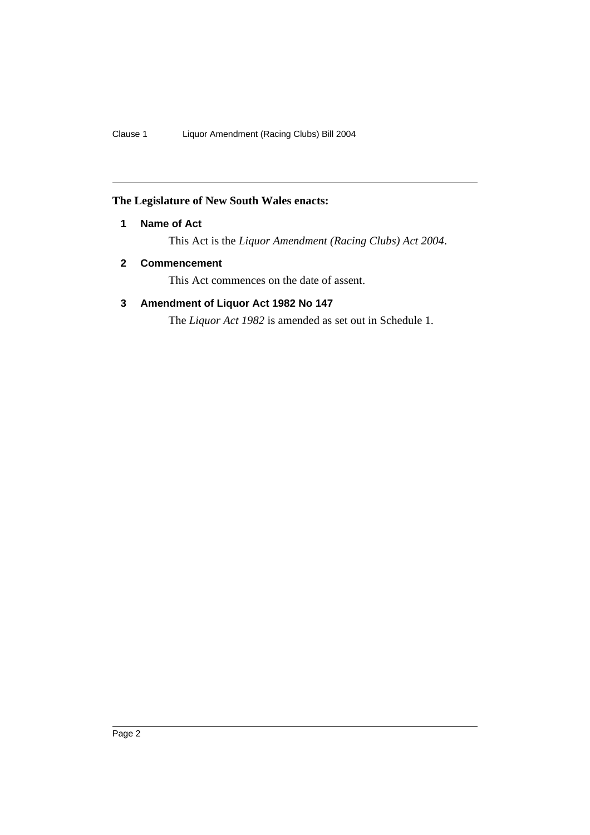## **The Legislature of New South Wales enacts:**

## **1 Name of Act**

This Act is the *Liquor Amendment (Racing Clubs) Act 2004*.

## **2 Commencement**

This Act commences on the date of assent.

## **3 Amendment of Liquor Act 1982 No 147**

The *Liquor Act 1982* is amended as set out in Schedule 1.